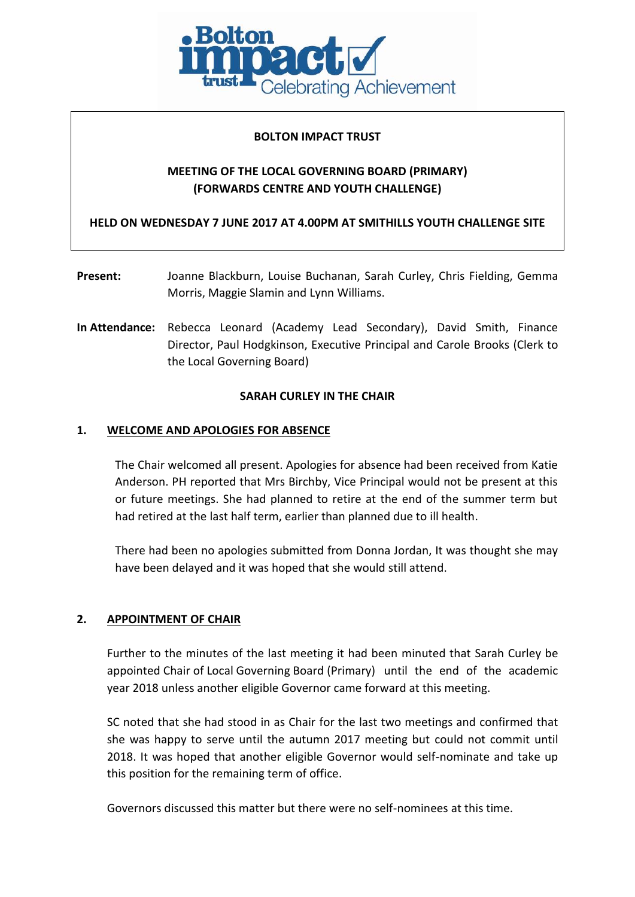

### **BOLTON IMPACT TRUST**

# **MEETING OF THE LOCAL GOVERNING BOARD (PRIMARY) (FORWARDS CENTRE AND YOUTH CHALLENGE)**

**HELD ON WEDNESDAY 7 JUNE 2017 AT 4.00PM AT SMITHILLS YOUTH CHALLENGE SITE**

- **Present:** Joanne Blackburn, Louise Buchanan, Sarah Curley, Chris Fielding, Gemma Morris, Maggie Slamin and Lynn Williams.
- **In Attendance:** Rebecca Leonard (Academy Lead Secondary), David Smith, Finance Director, Paul Hodgkinson, Executive Principal and Carole Brooks (Clerk to the Local Governing Board)

### **SARAH CURLEY IN THE CHAIR**

### **1. WELCOME AND APOLOGIES FOR ABSENCE**

The Chair welcomed all present. Apologies for absence had been received from Katie Anderson. PH reported that Mrs Birchby, Vice Principal would not be present at this or future meetings. She had planned to retire at the end of the summer term but had retired at the last half term, earlier than planned due to ill health.

There had been no apologies submitted from Donna Jordan, It was thought she may have been delayed and it was hoped that she would still attend.

### **2. APPOINTMENT OF CHAIR**

Further to the minutes of the last meeting it had been minuted that Sarah Curley be appointed Chair of Local Governing Board (Primary) until the end of the academic year 2018 unless another eligible Governor came forward at this meeting.

SC noted that she had stood in as Chair for the last two meetings and confirmed that she was happy to serve until the autumn 2017 meeting but could not commit until 2018. It was hoped that another eligible Governor would self-nominate and take up this position for the remaining term of office.

Governors discussed this matter but there were no self-nominees at this time.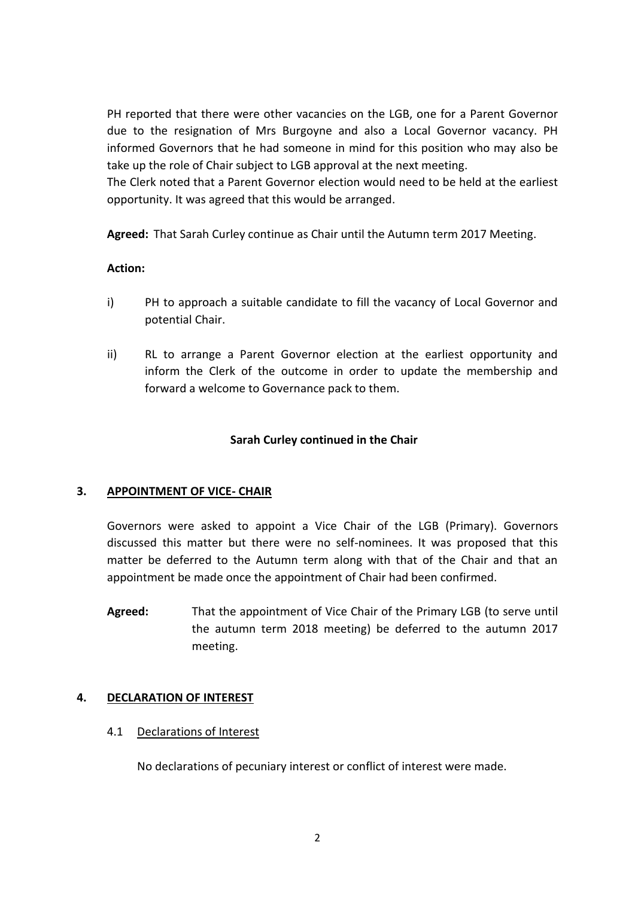PH reported that there were other vacancies on the LGB, one for a Parent Governor due to the resignation of Mrs Burgoyne and also a Local Governor vacancy. PH informed Governors that he had someone in mind for this position who may also be take up the role of Chair subject to LGB approval at the next meeting.

The Clerk noted that a Parent Governor election would need to be held at the earliest opportunity. It was agreed that this would be arranged.

**Agreed:** That Sarah Curley continue as Chair until the Autumn term 2017 Meeting.

## **Action:**

- i) PH to approach a suitable candidate to fill the vacancy of Local Governor and potential Chair.
- ii) RL to arrange a Parent Governor election at the earliest opportunity and inform the Clerk of the outcome in order to update the membership and forward a welcome to Governance pack to them.

## **Sarah Curley continued in the Chair**

# **3. APPOINTMENT OF VICE- CHAIR**

Governors were asked to appoint a Vice Chair of the LGB (Primary). Governors discussed this matter but there were no self-nominees. It was proposed that this matter be deferred to the Autumn term along with that of the Chair and that an appointment be made once the appointment of Chair had been confirmed.

**Agreed:** That the appointment of Vice Chair of the Primary LGB (to serve until the autumn term 2018 meeting) be deferred to the autumn 2017 meeting.

# **4. DECLARATION OF INTEREST**

### 4.1 Declarations of Interest

No declarations of pecuniary interest or conflict of interest were made.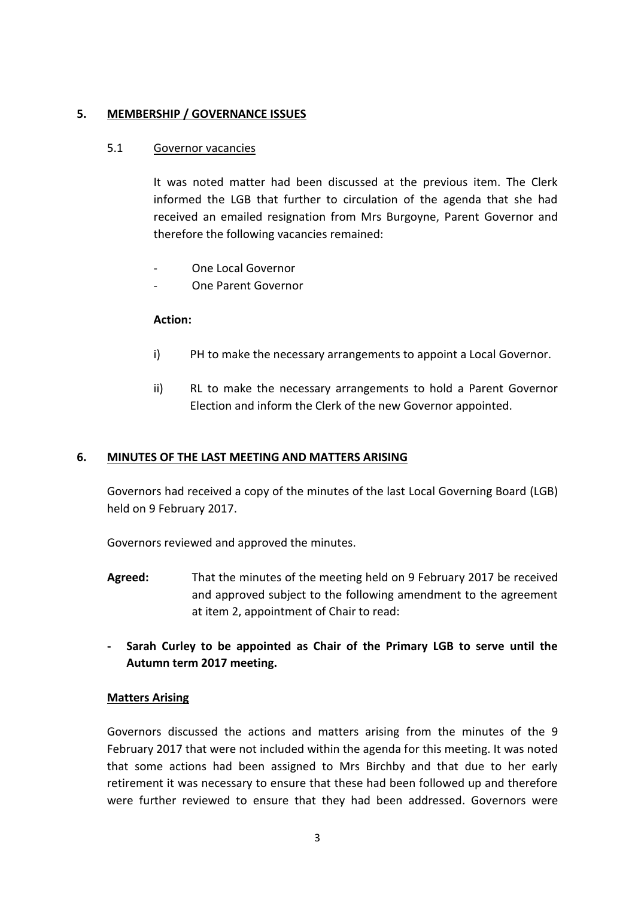## **5. MEMBERSHIP / GOVERNANCE ISSUES**

## 5.1 Governor vacancies

It was noted matter had been discussed at the previous item. The Clerk informed the LGB that further to circulation of the agenda that she had received an emailed resignation from Mrs Burgoyne, Parent Governor and therefore the following vacancies remained:

- One Local Governor
- One Parent Governor

### **Action:**

- i) PH to make the necessary arrangements to appoint a Local Governor.
- ii) RL to make the necessary arrangements to hold a Parent Governor Election and inform the Clerk of the new Governor appointed.

### **6. MINUTES OF THE LAST MEETING AND MATTERS ARISING**

Governors had received a copy of the minutes of the last Local Governing Board (LGB) held on 9 February 2017.

Governors reviewed and approved the minutes.

- **Agreed:** That the minutes of the meeting held on 9 February 2017 be received and approved subject to the following amendment to the agreement at item 2, appointment of Chair to read:
- **- Sarah Curley to be appointed as Chair of the Primary LGB to serve until the Autumn term 2017 meeting.**

### **Matters Arising**

Governors discussed the actions and matters arising from the minutes of the 9 February 2017 that were not included within the agenda for this meeting. It was noted that some actions had been assigned to Mrs Birchby and that due to her early retirement it was necessary to ensure that these had been followed up and therefore were further reviewed to ensure that they had been addressed. Governors were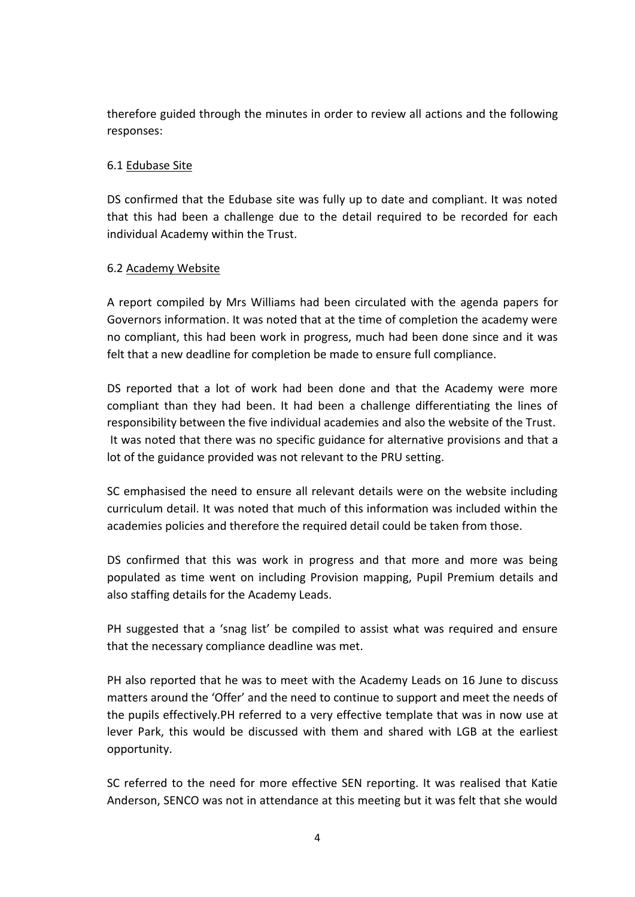therefore guided through the minutes in order to review all actions and the following responses:

# 6.1 Edubase Site

DS confirmed that the Edubase site was fully up to date and compliant. It was noted that this had been a challenge due to the detail required to be recorded for each individual Academy within the Trust.

# 6.2 Academy Website

A report compiled by Mrs Williams had been circulated with the agenda papers for Governors information. It was noted that at the time of completion the academy were no compliant, this had been work in progress, much had been done since and it was felt that a new deadline for completion be made to ensure full compliance.

DS reported that a lot of work had been done and that the Academy were more compliant than they had been. It had been a challenge differentiating the lines of responsibility between the five individual academies and also the website of the Trust. It was noted that there was no specific guidance for alternative provisions and that a lot of the guidance provided was not relevant to the PRU setting.

SC emphasised the need to ensure all relevant details were on the website including curriculum detail. It was noted that much of this information was included within the academies policies and therefore the required detail could be taken from those.

DS confirmed that this was work in progress and that more and more was being populated as time went on including Provision mapping, Pupil Premium details and also staffing details for the Academy Leads.

PH suggested that a 'snag list' be compiled to assist what was required and ensure that the necessary compliance deadline was met.

PH also reported that he was to meet with the Academy Leads on 16 June to discuss matters around the 'Offer' and the need to continue to support and meet the needs of the pupils effectively.PH referred to a very effective template that was in now use at lever Park, this would be discussed with them and shared with LGB at the earliest opportunity.

SC referred to the need for more effective SEN reporting. It was realised that Katie Anderson, SENCO was not in attendance at this meeting but it was felt that she would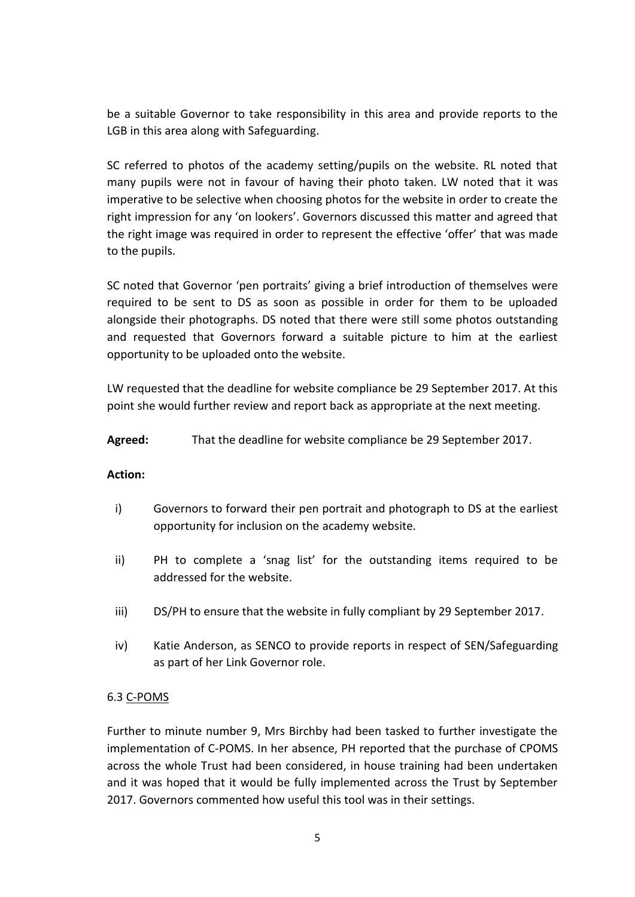be a suitable Governor to take responsibility in this area and provide reports to the LGB in this area along with Safeguarding.

SC referred to photos of the academy setting/pupils on the website. RL noted that many pupils were not in favour of having their photo taken. LW noted that it was imperative to be selective when choosing photos for the website in order to create the right impression for any 'on lookers'. Governors discussed this matter and agreed that the right image was required in order to represent the effective 'offer' that was made to the pupils.

SC noted that Governor 'pen portraits' giving a brief introduction of themselves were required to be sent to DS as soon as possible in order for them to be uploaded alongside their photographs. DS noted that there were still some photos outstanding and requested that Governors forward a suitable picture to him at the earliest opportunity to be uploaded onto the website.

LW requested that the deadline for website compliance be 29 September 2017. At this point she would further review and report back as appropriate at the next meeting.

**Agreed:** That the deadline for website compliance be 29 September 2017.

### **Action:**

- i) Governors to forward their pen portrait and photograph to DS at the earliest opportunity for inclusion on the academy website.
- ii) PH to complete a 'snag list' for the outstanding items required to be addressed for the website.
- iii) DS/PH to ensure that the website in fully compliant by 29 September 2017.
- iv) Katie Anderson, as SENCO to provide reports in respect of SEN/Safeguarding as part of her Link Governor role.

# 6.3 C-POMS

Further to minute number 9, Mrs Birchby had been tasked to further investigate the implementation of C-POMS. In her absence, PH reported that the purchase of CPOMS across the whole Trust had been considered, in house training had been undertaken and it was hoped that it would be fully implemented across the Trust by September 2017. Governors commented how useful this tool was in their settings.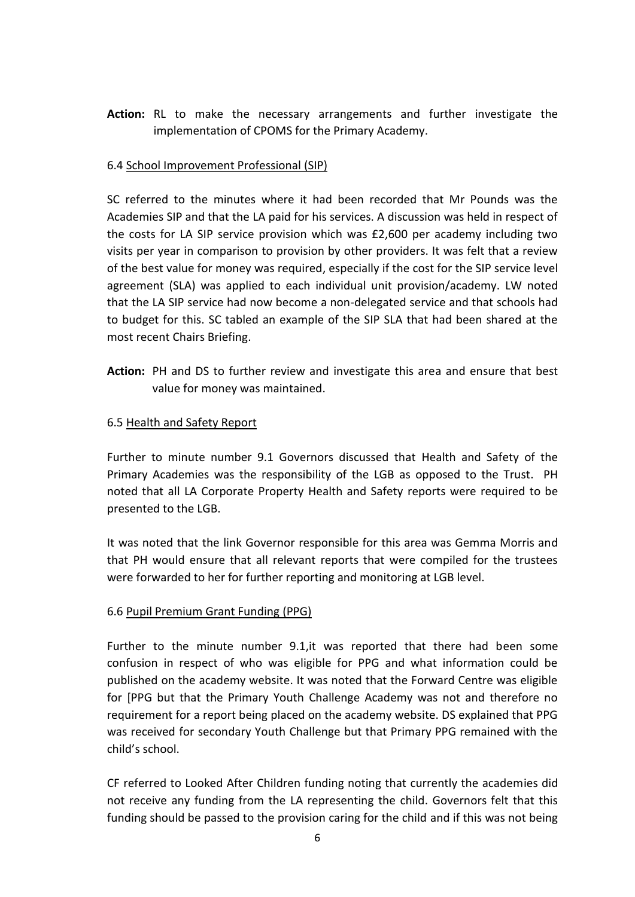**Action:** RL to make the necessary arrangements and further investigate the implementation of CPOMS for the Primary Academy.

# 6.4 School Improvement Professional (SIP)

SC referred to the minutes where it had been recorded that Mr Pounds was the Academies SIP and that the LA paid for his services. A discussion was held in respect of the costs for LA SIP service provision which was £2,600 per academy including two visits per year in comparison to provision by other providers. It was felt that a review of the best value for money was required, especially if the cost for the SIP service level agreement (SLA) was applied to each individual unit provision/academy. LW noted that the LA SIP service had now become a non-delegated service and that schools had to budget for this. SC tabled an example of the SIP SLA that had been shared at the most recent Chairs Briefing.

**Action:** PH and DS to further review and investigate this area and ensure that best value for money was maintained.

## 6.5 Health and Safety Report

Further to minute number 9.1 Governors discussed that Health and Safety of the Primary Academies was the responsibility of the LGB as opposed to the Trust. PH noted that all LA Corporate Property Health and Safety reports were required to be presented to the LGB.

It was noted that the link Governor responsible for this area was Gemma Morris and that PH would ensure that all relevant reports that were compiled for the trustees were forwarded to her for further reporting and monitoring at LGB level.

### 6.6 Pupil Premium Grant Funding (PPG)

Further to the minute number 9.1,it was reported that there had been some confusion in respect of who was eligible for PPG and what information could be published on the academy website. It was noted that the Forward Centre was eligible for [PPG but that the Primary Youth Challenge Academy was not and therefore no requirement for a report being placed on the academy website. DS explained that PPG was received for secondary Youth Challenge but that Primary PPG remained with the child's school.

CF referred to Looked After Children funding noting that currently the academies did not receive any funding from the LA representing the child. Governors felt that this funding should be passed to the provision caring for the child and if this was not being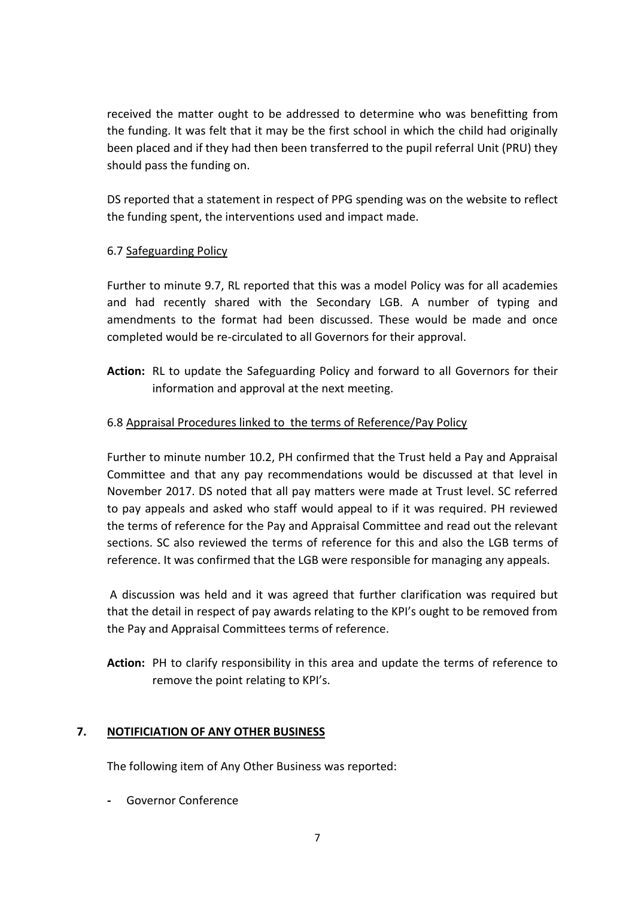received the matter ought to be addressed to determine who was benefitting from the funding. It was felt that it may be the first school in which the child had originally been placed and if they had then been transferred to the pupil referral Unit (PRU) they should pass the funding on.

DS reported that a statement in respect of PPG spending was on the website to reflect the funding spent, the interventions used and impact made.

# 6.7 Safeguarding Policy

Further to minute 9.7, RL reported that this was a model Policy was for all academies and had recently shared with the Secondary LGB. A number of typing and amendments to the format had been discussed. These would be made and once completed would be re-circulated to all Governors for their approval.

**Action:** RL to update the Safeguarding Policy and forward to all Governors for their information and approval at the next meeting.

# 6.8 Appraisal Procedures linked to the terms of Reference/Pay Policy

Further to minute number 10.2, PH confirmed that the Trust held a Pay and Appraisal Committee and that any pay recommendations would be discussed at that level in November 2017. DS noted that all pay matters were made at Trust level. SC referred to pay appeals and asked who staff would appeal to if it was required. PH reviewed the terms of reference for the Pay and Appraisal Committee and read out the relevant sections. SC also reviewed the terms of reference for this and also the LGB terms of reference. It was confirmed that the LGB were responsible for managing any appeals.

A discussion was held and it was agreed that further clarification was required but that the detail in respect of pay awards relating to the KPI's ought to be removed from the Pay and Appraisal Committees terms of reference.

**Action:** PH to clarify responsibility in this area and update the terms of reference to remove the point relating to KPI's.

# **7. NOTIFICIATION OF ANY OTHER BUSINESS**

The following item of Any Other Business was reported:

**-** Governor Conference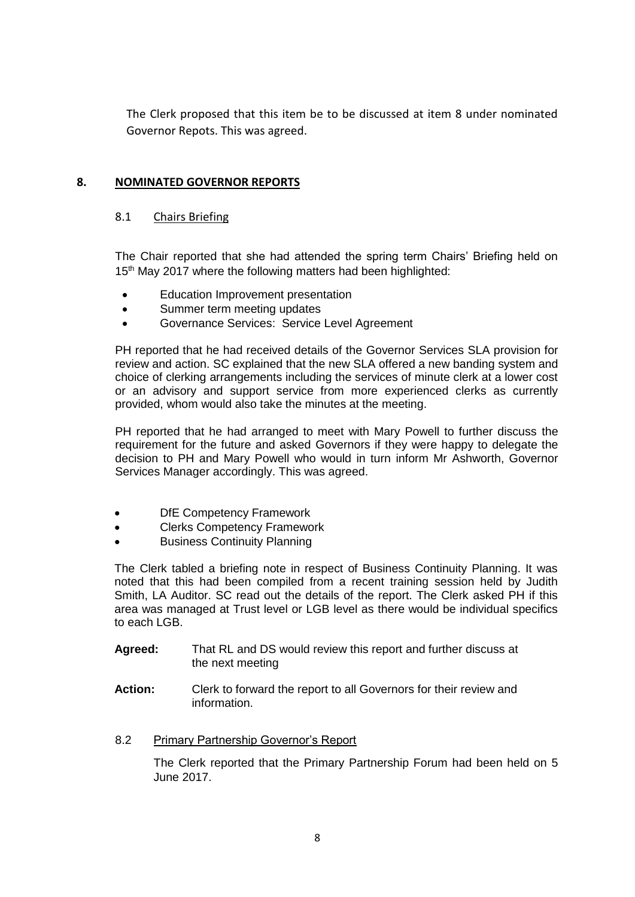The Clerk proposed that this item be to be discussed at item 8 under nominated Governor Repots. This was agreed.

# **8. NOMINATED GOVERNOR REPORTS**

#### 8.1 Chairs Briefing

The Chair reported that she had attended the spring term Chairs' Briefing held on 15<sup>th</sup> May 2017 where the following matters had been highlighted:

- Education Improvement presentation
- Summer term meeting updates
- Governance Services: Service Level Agreement

PH reported that he had received details of the Governor Services SLA provision for review and action. SC explained that the new SLA offered a new banding system and choice of clerking arrangements including the services of minute clerk at a lower cost or an advisory and support service from more experienced clerks as currently provided, whom would also take the minutes at the meeting.

PH reported that he had arranged to meet with Mary Powell to further discuss the requirement for the future and asked Governors if they were happy to delegate the decision to PH and Mary Powell who would in turn inform Mr Ashworth, Governor Services Manager accordingly. This was agreed.

- DfE Competency Framework
- Clerks Competency Framework
- Business Continuity Planning

The Clerk tabled a briefing note in respect of Business Continuity Planning. It was noted that this had been compiled from a recent training session held by Judith Smith, LA Auditor. SC read out the details of the report. The Clerk asked PH if this area was managed at Trust level or LGB level as there would be individual specifics to each LGB.

- **Agreed:** That RL and DS would review this report and further discuss at the next meeting
- **Action:** Clerk to forward the report to all Governors for their review and information.

### 8.2 Primary Partnership Governor's Report

The Clerk reported that the Primary Partnership Forum had been held on 5 June 2017.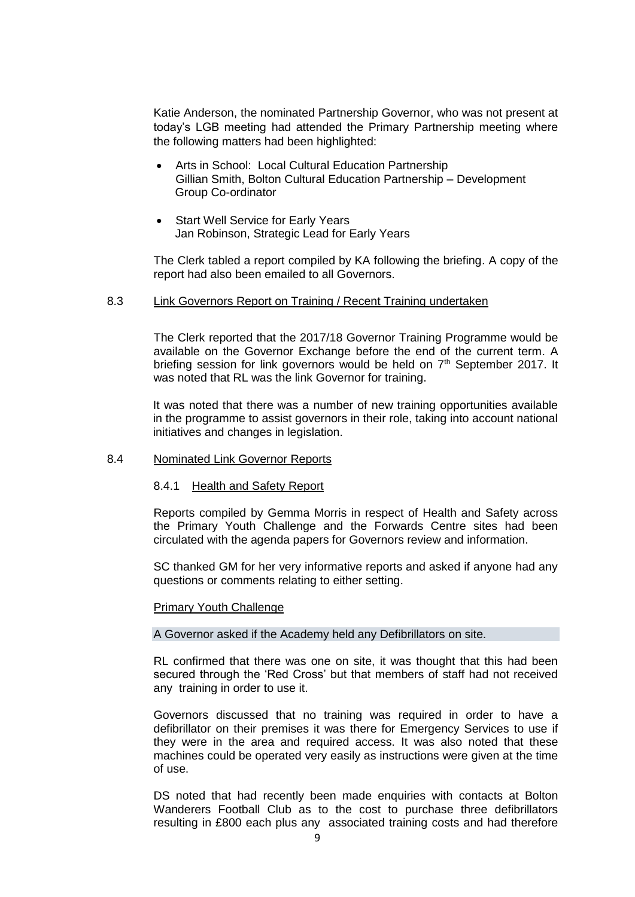Katie Anderson, the nominated Partnership Governor, who was not present at today's LGB meeting had attended the Primary Partnership meeting where the following matters had been highlighted:

- Arts in School: Local Cultural Education Partnership Gillian Smith, Bolton Cultural Education Partnership – Development Group Co-ordinator
- Start Well Service for Early Years Jan Robinson, Strategic Lead for Early Years

The Clerk tabled a report compiled by KA following the briefing. A copy of the report had also been emailed to all Governors.

#### 8.3 Link Governors Report on Training / Recent Training undertaken

The Clerk reported that the 2017/18 Governor Training Programme would be available on the Governor Exchange before the end of the current term. A briefing session for link governors would be held on 7<sup>th</sup> September 2017. It was noted that RL was the link Governor for training.

It was noted that there was a number of new training opportunities available in the programme to assist governors in their role, taking into account national initiatives and changes in legislation.

#### 8.4 Nominated Link Governor Reports

#### 8.4.1 Health and Safety Report

Reports compiled by Gemma Morris in respect of Health and Safety across the Primary Youth Challenge and the Forwards Centre sites had been circulated with the agenda papers for Governors review and information.

SC thanked GM for her very informative reports and asked if anyone had any questions or comments relating to either setting.

#### Primary Youth Challenge

#### A Governor asked if the Academy held any Defibrillators on site.

RL confirmed that there was one on site, it was thought that this had been secured through the 'Red Cross' but that members of staff had not received any training in order to use it.

Governors discussed that no training was required in order to have a defibrillator on their premises it was there for Emergency Services to use if they were in the area and required access. It was also noted that these machines could be operated very easily as instructions were given at the time of use.

DS noted that had recently been made enquiries with contacts at Bolton Wanderers Football Club as to the cost to purchase three defibrillators resulting in £800 each plus any associated training costs and had therefore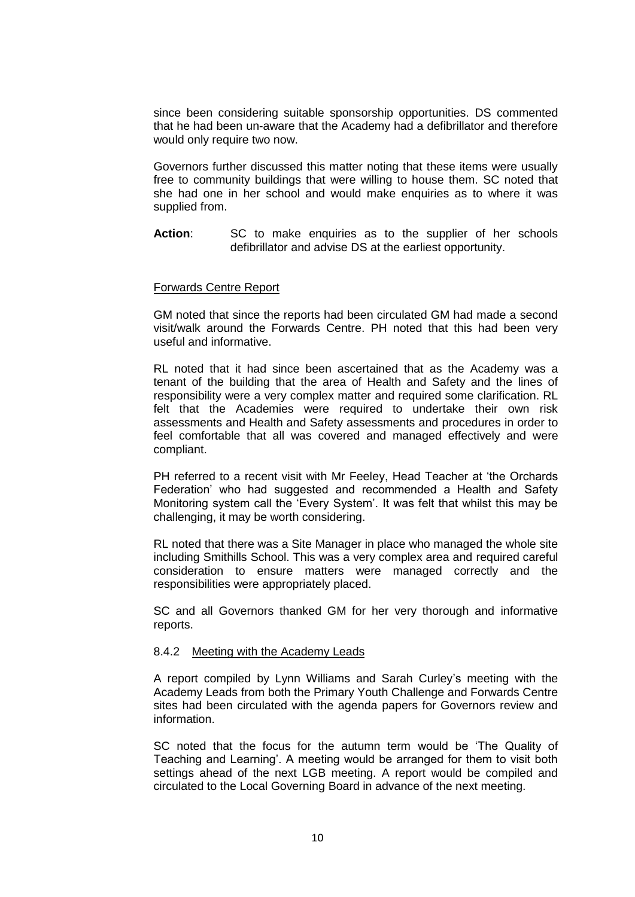since been considering suitable sponsorship opportunities. DS commented that he had been un-aware that the Academy had a defibrillator and therefore would only require two now.

Governors further discussed this matter noting that these items were usually free to community buildings that were willing to house them. SC noted that she had one in her school and would make enquiries as to where it was supplied from.

Action: SC to make enquiries as to the supplier of her schools defibrillator and advise DS at the earliest opportunity.

#### Forwards Centre Report

GM noted that since the reports had been circulated GM had made a second visit/walk around the Forwards Centre. PH noted that this had been very useful and informative.

RL noted that it had since been ascertained that as the Academy was a tenant of the building that the area of Health and Safety and the lines of responsibility were a very complex matter and required some clarification. RL felt that the Academies were required to undertake their own risk assessments and Health and Safety assessments and procedures in order to feel comfortable that all was covered and managed effectively and were compliant.

PH referred to a recent visit with Mr Feeley, Head Teacher at 'the Orchards Federation' who had suggested and recommended a Health and Safety Monitoring system call the 'Every System'. It was felt that whilst this may be challenging, it may be worth considering.

RL noted that there was a Site Manager in place who managed the whole site including Smithills School. This was a very complex area and required careful consideration to ensure matters were managed correctly and the responsibilities were appropriately placed.

SC and all Governors thanked GM for her very thorough and informative reports.

#### 8.4.2 Meeting with the Academy Leads

A report compiled by Lynn Williams and Sarah Curley's meeting with the Academy Leads from both the Primary Youth Challenge and Forwards Centre sites had been circulated with the agenda papers for Governors review and information.

SC noted that the focus for the autumn term would be 'The Quality of Teaching and Learning'. A meeting would be arranged for them to visit both settings ahead of the next LGB meeting. A report would be compiled and circulated to the Local Governing Board in advance of the next meeting.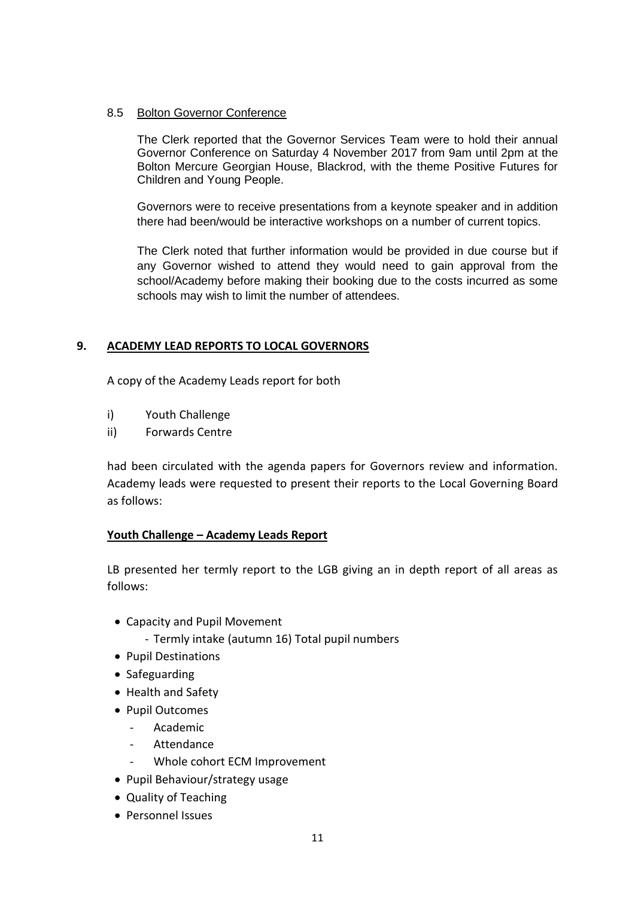### 8.5 Bolton Governor Conference

The Clerk reported that the Governor Services Team were to hold their annual Governor Conference on Saturday 4 November 2017 from 9am until 2pm at the Bolton Mercure Georgian House, Blackrod, with the theme Positive Futures for Children and Young People.

Governors were to receive presentations from a keynote speaker and in addition there had been/would be interactive workshops on a number of current topics.

The Clerk noted that further information would be provided in due course but if any Governor wished to attend they would need to gain approval from the school/Academy before making their booking due to the costs incurred as some schools may wish to limit the number of attendees.

# **9. ACADEMY LEAD REPORTS TO LOCAL GOVERNORS**

A copy of the Academy Leads report for both

- i) Youth Challenge
- ii) Forwards Centre

had been circulated with the agenda papers for Governors review and information. Academy leads were requested to present their reports to the Local Governing Board as follows:

### **Youth Challenge – Academy Leads Report**

LB presented her termly report to the LGB giving an in depth report of all areas as follows:

- Capacity and Pupil Movement
	- Termly intake (autumn 16) Total pupil numbers
- Pupil Destinations
- Safeguarding
- Health and Safety
- Pupil Outcomes
	- Academic
	- **Attendance**
	- Whole cohort ECM Improvement
- Pupil Behaviour/strategy usage
- Quality of Teaching
- Personnel Issues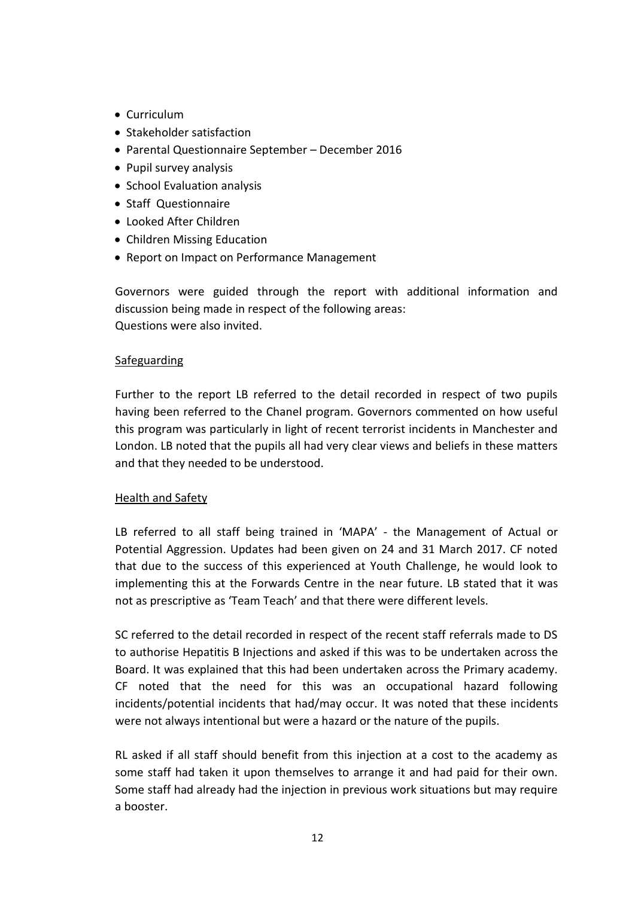- Curriculum
- Stakeholder satisfaction
- Parental Questionnaire September December 2016
- Pupil survey analysis
- School Evaluation analysis
- Staff Questionnaire
- Looked After Children
- Children Missing Education
- Report on Impact on Performance Management

 Governors were guided through the report with additional information and discussion being made in respect of the following areas: Questions were also invited.

## Safeguarding

Further to the report LB referred to the detail recorded in respect of two pupils having been referred to the Chanel program. Governors commented on how useful this program was particularly in light of recent terrorist incidents in Manchester and London. LB noted that the pupils all had very clear views and beliefs in these matters and that they needed to be understood.

# Health and Safety

LB referred to all staff being trained in 'MAPA' - the Management of Actual or Potential Aggression. Updates had been given on 24 and 31 March 2017. CF noted that due to the success of this experienced at Youth Challenge, he would look to implementing this at the Forwards Centre in the near future. LB stated that it was not as prescriptive as 'Team Teach' and that there were different levels.

SC referred to the detail recorded in respect of the recent staff referrals made to DS to authorise Hepatitis B Injections and asked if this was to be undertaken across the Board. It was explained that this had been undertaken across the Primary academy. CF noted that the need for this was an occupational hazard following incidents/potential incidents that had/may occur. It was noted that these incidents were not always intentional but were a hazard or the nature of the pupils.

RL asked if all staff should benefit from this injection at a cost to the academy as some staff had taken it upon themselves to arrange it and had paid for their own. Some staff had already had the injection in previous work situations but may require a booster.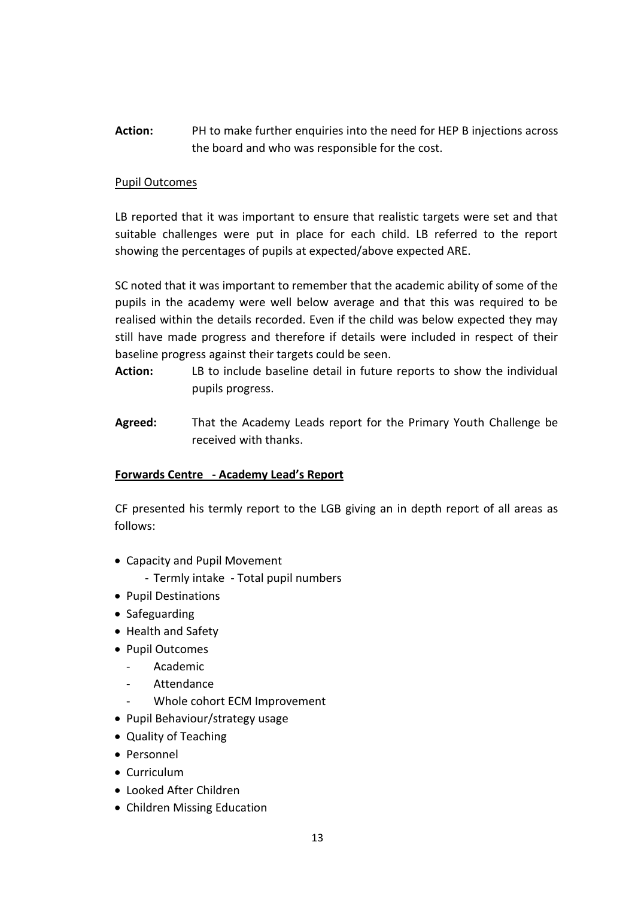**Action:** PH to make further enquiries into the need for HEP B injections across the board and who was responsible for the cost.

## Pupil Outcomes

LB reported that it was important to ensure that realistic targets were set and that suitable challenges were put in place for each child. LB referred to the report showing the percentages of pupils at expected/above expected ARE.

SC noted that it was important to remember that the academic ability of some of the pupils in the academy were well below average and that this was required to be realised within the details recorded. Even if the child was below expected they may still have made progress and therefore if details were included in respect of their baseline progress against their targets could be seen.

- **Action:** LB to include baseline detail in future reports to show the individual pupils progress.
- **Agreed:** That the Academy Leads report for the Primary Youth Challenge be received with thanks.

# **Forwards Centre - Academy Lead's Report**

CF presented his termly report to the LGB giving an in depth report of all areas as follows:

- Capacity and Pupil Movement
	- Termly intake Total pupil numbers
- Pupil Destinations
- Safeguarding
- Health and Safety
- Pupil Outcomes
	- Academic
	- **Attendance**
	- Whole cohort ECM Improvement
- Pupil Behaviour/strategy usage
- Quality of Teaching
- Personnel
- Curriculum
- Looked After Children
- Children Missing Education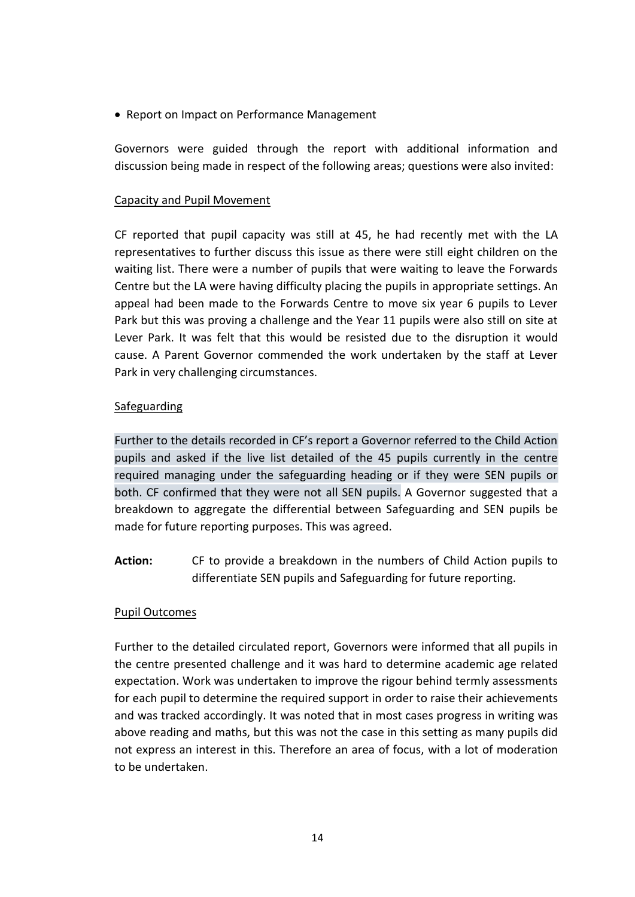• Report on Impact on Performance Management

Governors were guided through the report with additional information and discussion being made in respect of the following areas; questions were also invited:

## Capacity and Pupil Movement

CF reported that pupil capacity was still at 45, he had recently met with the LA representatives to further discuss this issue as there were still eight children on the waiting list. There were a number of pupils that were waiting to leave the Forwards Centre but the LA were having difficulty placing the pupils in appropriate settings. An appeal had been made to the Forwards Centre to move six year 6 pupils to Lever Park but this was proving a challenge and the Year 11 pupils were also still on site at Lever Park. It was felt that this would be resisted due to the disruption it would cause. A Parent Governor commended the work undertaken by the staff at Lever Park in very challenging circumstances.

## Safeguarding

Further to the details recorded in CF's report a Governor referred to the Child Action pupils and asked if the live list detailed of the 45 pupils currently in the centre required managing under the safeguarding heading or if they were SEN pupils or both. CF confirmed that they were not all SEN pupils. A Governor suggested that a breakdown to aggregate the differential between Safeguarding and SEN pupils be made for future reporting purposes. This was agreed.

**Action:** CF to provide a breakdown in the numbers of Child Action pupils to differentiate SEN pupils and Safeguarding for future reporting.

### Pupil Outcomes

Further to the detailed circulated report, Governors were informed that all pupils in the centre presented challenge and it was hard to determine academic age related expectation. Work was undertaken to improve the rigour behind termly assessments for each pupil to determine the required support in order to raise their achievements and was tracked accordingly. It was noted that in most cases progress in writing was above reading and maths, but this was not the case in this setting as many pupils did not express an interest in this. Therefore an area of focus, with a lot of moderation to be undertaken.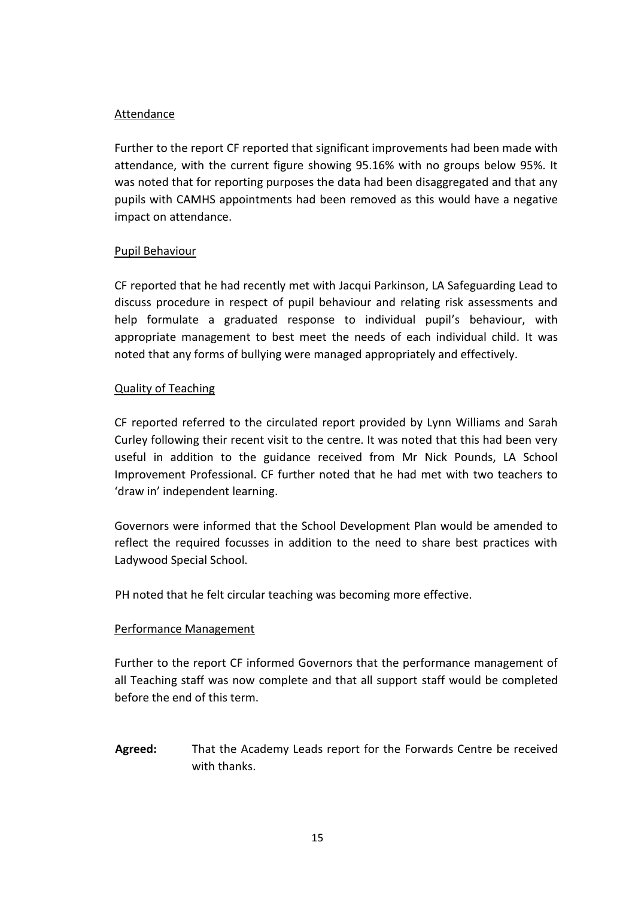## Attendance

Further to the report CF reported that significant improvements had been made with attendance, with the current figure showing 95.16% with no groups below 95%. It was noted that for reporting purposes the data had been disaggregated and that any pupils with CAMHS appointments had been removed as this would have a negative impact on attendance.

## Pupil Behaviour

CF reported that he had recently met with Jacqui Parkinson, LA Safeguarding Lead to discuss procedure in respect of pupil behaviour and relating risk assessments and help formulate a graduated response to individual pupil's behaviour, with appropriate management to best meet the needs of each individual child. It was noted that any forms of bullying were managed appropriately and effectively.

## Quality of Teaching

CF reported referred to the circulated report provided by Lynn Williams and Sarah Curley following their recent visit to the centre. It was noted that this had been very useful in addition to the guidance received from Mr Nick Pounds, LA School Improvement Professional. CF further noted that he had met with two teachers to 'draw in' independent learning.

Governors were informed that the School Development Plan would be amended to reflect the required focusses in addition to the need to share best practices with Ladywood Special School.

PH noted that he felt circular teaching was becoming more effective.

# Performance Management

Further to the report CF informed Governors that the performance management of all Teaching staff was now complete and that all support staff would be completed before the end of this term.

**Agreed:** That the Academy Leads report for the Forwards Centre be received with thanks.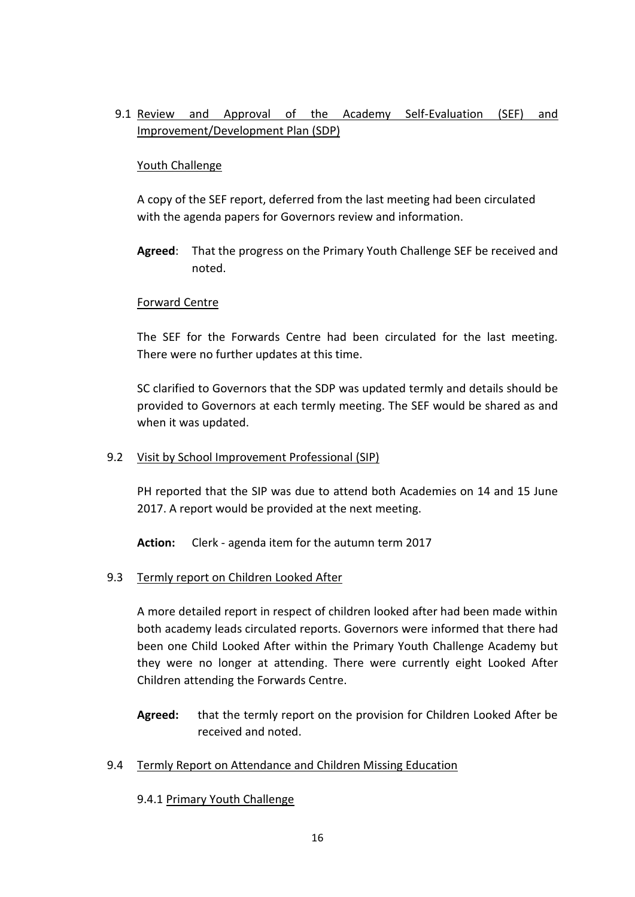# 9.1 Review and Approval of the Academy Self-Evaluation (SEF) and Improvement/Development Plan (SDP)

## Youth Challenge

A copy of the SEF report, deferred from the last meeting had been circulated with the agenda papers for Governors review and information.

**Agreed**: That the progress on the Primary Youth Challenge SEF be received and noted.

## Forward Centre

The SEF for the Forwards Centre had been circulated for the last meeting. There were no further updates at this time.

SC clarified to Governors that the SDP was updated termly and details should be provided to Governors at each termly meeting. The SEF would be shared as and when it was updated.

### 9.2 Visit by School Improvement Professional (SIP)

PH reported that the SIP was due to attend both Academies on 14 and 15 June 2017. A report would be provided at the next meeting.

**Action:** Clerk - agenda item for the autumn term 2017

9.3 Termly report on Children Looked After

A more detailed report in respect of children looked after had been made within both academy leads circulated reports. Governors were informed that there had been one Child Looked After within the Primary Youth Challenge Academy but they were no longer at attending. There were currently eight Looked After Children attending the Forwards Centre.

- **Agreed:** that the termly report on the provision for Children Looked After be received and noted.
- 9.4 Termly Report on Attendance and Children Missing Education

# 9.4.1 Primary Youth Challenge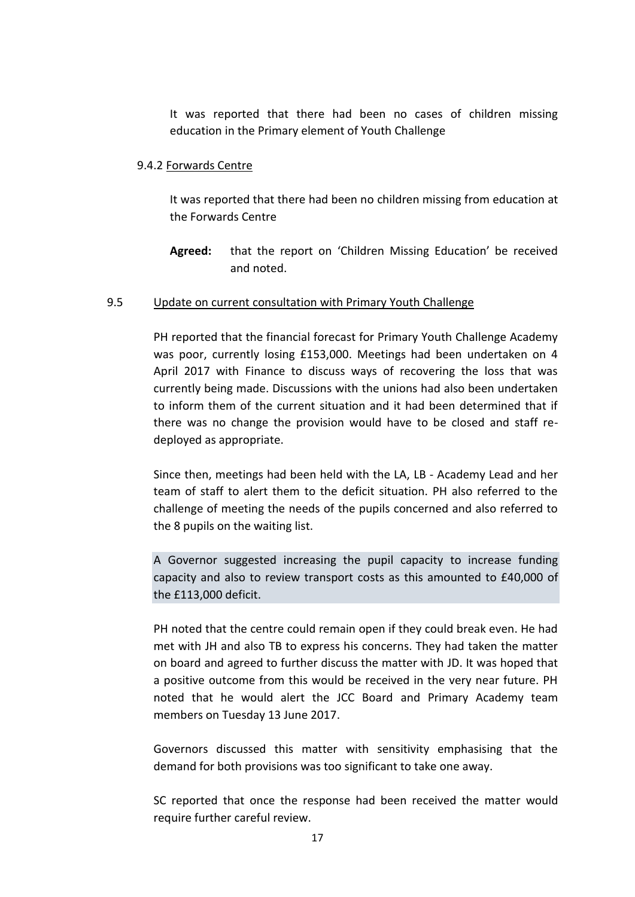It was reported that there had been no cases of children missing education in the Primary element of Youth Challenge

#### 9.4.2 Forwards Centre

It was reported that there had been no children missing from education at the Forwards Centre

**Agreed:** that the report on 'Children Missing Education' be received and noted.

#### 9.5 Update on current consultation with Primary Youth Challenge

PH reported that the financial forecast for Primary Youth Challenge Academy was poor, currently losing £153,000. Meetings had been undertaken on 4 April 2017 with Finance to discuss ways of recovering the loss that was currently being made. Discussions with the unions had also been undertaken to inform them of the current situation and it had been determined that if there was no change the provision would have to be closed and staff redeployed as appropriate.

Since then, meetings had been held with the LA, LB - Academy Lead and her team of staff to alert them to the deficit situation. PH also referred to the challenge of meeting the needs of the pupils concerned and also referred to the 8 pupils on the waiting list.

A Governor suggested increasing the pupil capacity to increase funding capacity and also to review transport costs as this amounted to £40,000 of the £113,000 deficit.

PH noted that the centre could remain open if they could break even. He had met with JH and also TB to express his concerns. They had taken the matter on board and agreed to further discuss the matter with JD. It was hoped that a positive outcome from this would be received in the very near future. PH noted that he would alert the JCC Board and Primary Academy team members on Tuesday 13 June 2017.

Governors discussed this matter with sensitivity emphasising that the demand for both provisions was too significant to take one away.

SC reported that once the response had been received the matter would require further careful review.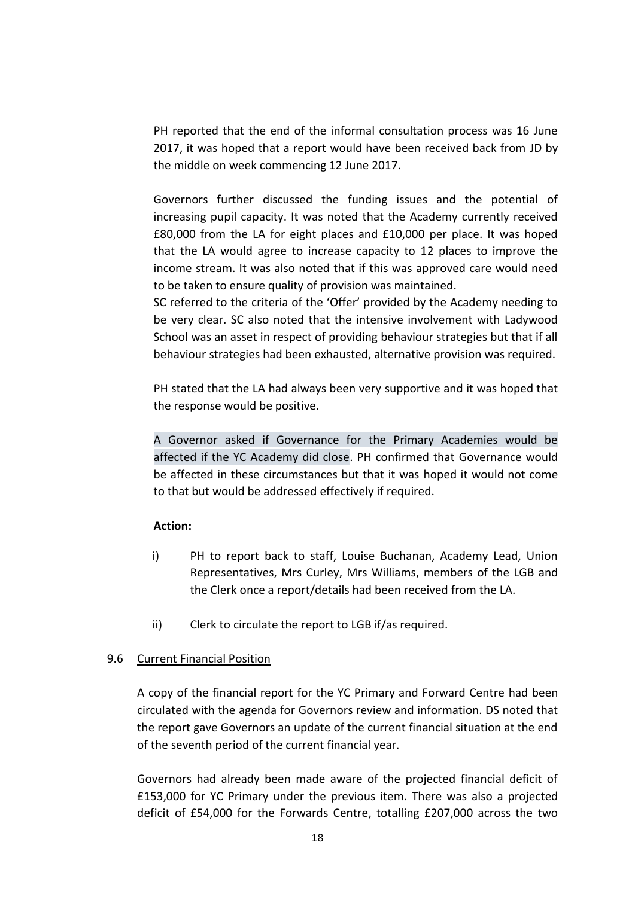PH reported that the end of the informal consultation process was 16 June 2017, it was hoped that a report would have been received back from JD by the middle on week commencing 12 June 2017.

Governors further discussed the funding issues and the potential of increasing pupil capacity. It was noted that the Academy currently received £80,000 from the LA for eight places and £10,000 per place. It was hoped that the LA would agree to increase capacity to 12 places to improve the income stream. It was also noted that if this was approved care would need to be taken to ensure quality of provision was maintained.

SC referred to the criteria of the 'Offer' provided by the Academy needing to be very clear. SC also noted that the intensive involvement with Ladywood School was an asset in respect of providing behaviour strategies but that if all behaviour strategies had been exhausted, alternative provision was required.

PH stated that the LA had always been very supportive and it was hoped that the response would be positive.

A Governor asked if Governance for the Primary Academies would be affected if the YC Academy did close. PH confirmed that Governance would be affected in these circumstances but that it was hoped it would not come to that but would be addressed effectively if required.

### **Action:**

- i) PH to report back to staff, Louise Buchanan, Academy Lead, Union Representatives, Mrs Curley, Mrs Williams, members of the LGB and the Clerk once a report/details had been received from the LA.
- ii) Clerk to circulate the report to LGB if/as required.

### 9.6 Current Financial Position

A copy of the financial report for the YC Primary and Forward Centre had been circulated with the agenda for Governors review and information. DS noted that the report gave Governors an update of the current financial situation at the end of the seventh period of the current financial year.

Governors had already been made aware of the projected financial deficit of £153,000 for YC Primary under the previous item. There was also a projected deficit of £54,000 for the Forwards Centre, totalling £207,000 across the two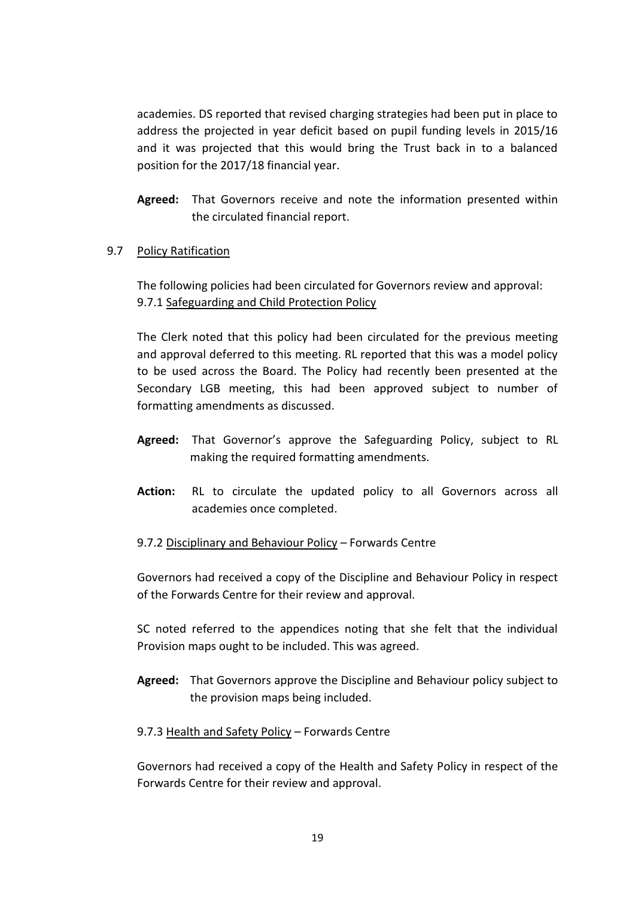academies. DS reported that revised charging strategies had been put in place to address the projected in year deficit based on pupil funding levels in 2015/16 and it was projected that this would bring the Trust back in to a balanced position for the 2017/18 financial year.

**Agreed:** That Governors receive and note the information presented within the circulated financial report.

# 9.7 Policy Ratification

The following policies had been circulated for Governors review and approval: 9.7.1 Safeguarding and Child Protection Policy

The Clerk noted that this policy had been circulated for the previous meeting and approval deferred to this meeting. RL reported that this was a model policy to be used across the Board. The Policy had recently been presented at the Secondary LGB meeting, this had been approved subject to number of formatting amendments as discussed.

- **Agreed:** That Governor's approve the Safeguarding Policy, subject to RL making the required formatting amendments.
- **Action:** RL to circulate the updated policy to all Governors across all academies once completed.

### 9.7.2 Disciplinary and Behaviour Policy – Forwards Centre

Governors had received a copy of the Discipline and Behaviour Policy in respect of the Forwards Centre for their review and approval.

SC noted referred to the appendices noting that she felt that the individual Provision maps ought to be included. This was agreed.

**Agreed:** That Governors approve the Discipline and Behaviour policy subject to the provision maps being included.

# 9.7.3 Health and Safety Policy – Forwards Centre

Governors had received a copy of the Health and Safety Policy in respect of the Forwards Centre for their review and approval.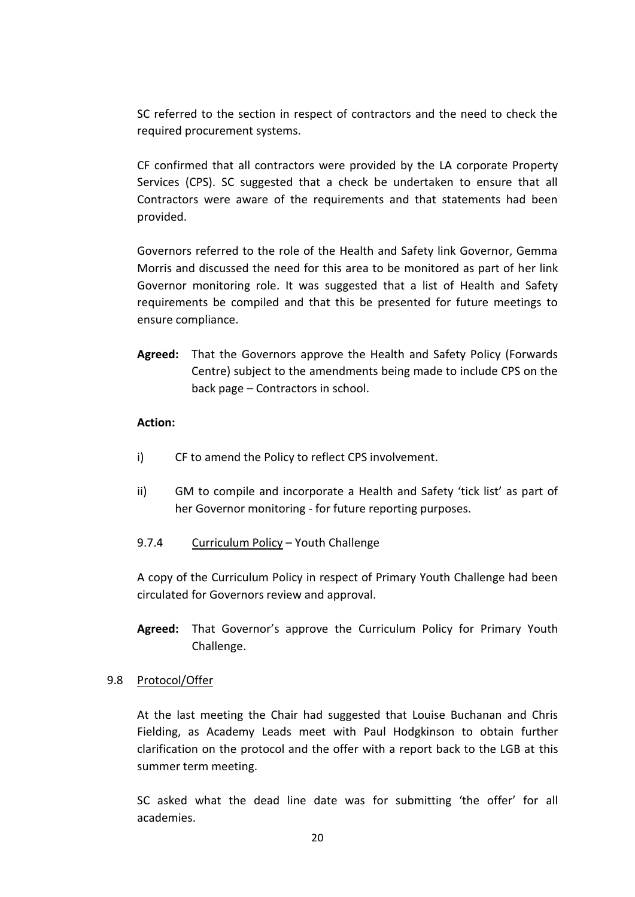SC referred to the section in respect of contractors and the need to check the required procurement systems.

CF confirmed that all contractors were provided by the LA corporate Property Services (CPS). SC suggested that a check be undertaken to ensure that all Contractors were aware of the requirements and that statements had been provided.

Governors referred to the role of the Health and Safety link Governor, Gemma Morris and discussed the need for this area to be monitored as part of her link Governor monitoring role. It was suggested that a list of Health and Safety requirements be compiled and that this be presented for future meetings to ensure compliance.

**Agreed:** That the Governors approve the Health and Safety Policy (Forwards Centre) subject to the amendments being made to include CPS on the back page – Contractors in school.

### **Action:**

- i) CF to amend the Policy to reflect CPS involvement.
- ii) GM to compile and incorporate a Health and Safety 'tick list' as part of her Governor monitoring - for future reporting purposes.
- 9.7.4 Curriculum Policy Youth Challenge

A copy of the Curriculum Policy in respect of Primary Youth Challenge had been circulated for Governors review and approval.

**Agreed:** That Governor's approve the Curriculum Policy for Primary Youth Challenge.

### 9.8 Protocol/Offer

At the last meeting the Chair had suggested that Louise Buchanan and Chris Fielding, as Academy Leads meet with Paul Hodgkinson to obtain further clarification on the protocol and the offer with a report back to the LGB at this summer term meeting.

SC asked what the dead line date was for submitting 'the offer' for all academies.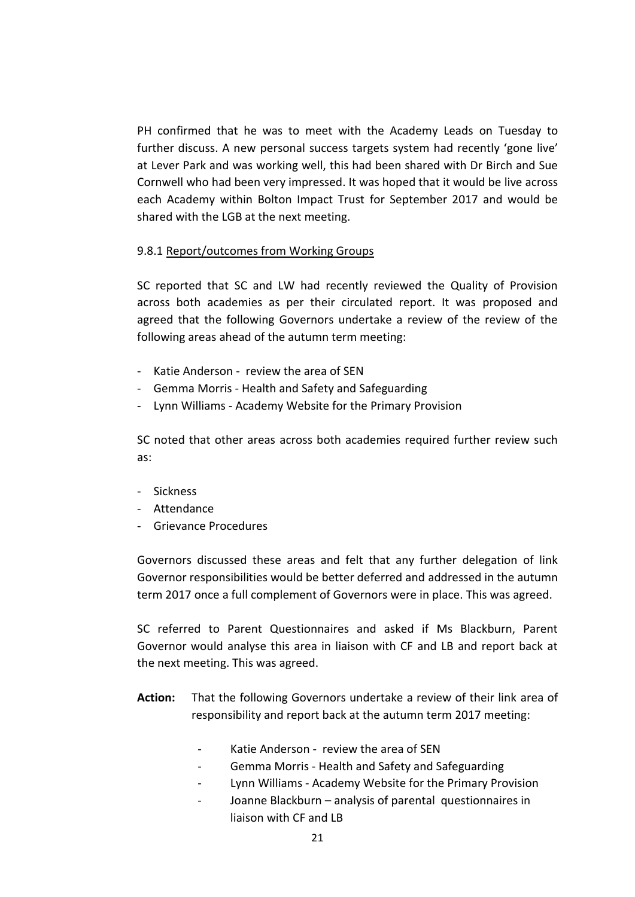PH confirmed that he was to meet with the Academy Leads on Tuesday to further discuss. A new personal success targets system had recently 'gone live' at Lever Park and was working well, this had been shared with Dr Birch and Sue Cornwell who had been very impressed. It was hoped that it would be live across each Academy within Bolton Impact Trust for September 2017 and would be shared with the LGB at the next meeting.

### 9.8.1 Report/outcomes from Working Groups

SC reported that SC and LW had recently reviewed the Quality of Provision across both academies as per their circulated report. It was proposed and agreed that the following Governors undertake a review of the review of the following areas ahead of the autumn term meeting:

- Katie Anderson review the area of SEN
- Gemma Morris Health and Safety and Safeguarding
- Lynn Williams Academy Website for the Primary Provision

SC noted that other areas across both academies required further review such as:

- Sickness
- Attendance
- Grievance Procedures

Governors discussed these areas and felt that any further delegation of link Governor responsibilities would be better deferred and addressed in the autumn term 2017 once a full complement of Governors were in place. This was agreed.

SC referred to Parent Questionnaires and asked if Ms Blackburn, Parent Governor would analyse this area in liaison with CF and LB and report back at the next meeting. This was agreed.

- **Action:** That the following Governors undertake a review of their link area of responsibility and report back at the autumn term 2017 meeting:
	- Katie Anderson review the area of SEN
	- Gemma Morris Health and Safety and Safeguarding
	- Lynn Williams Academy Website for the Primary Provision
	- Joanne Blackburn analysis of parental questionnaires in liaison with CF and LB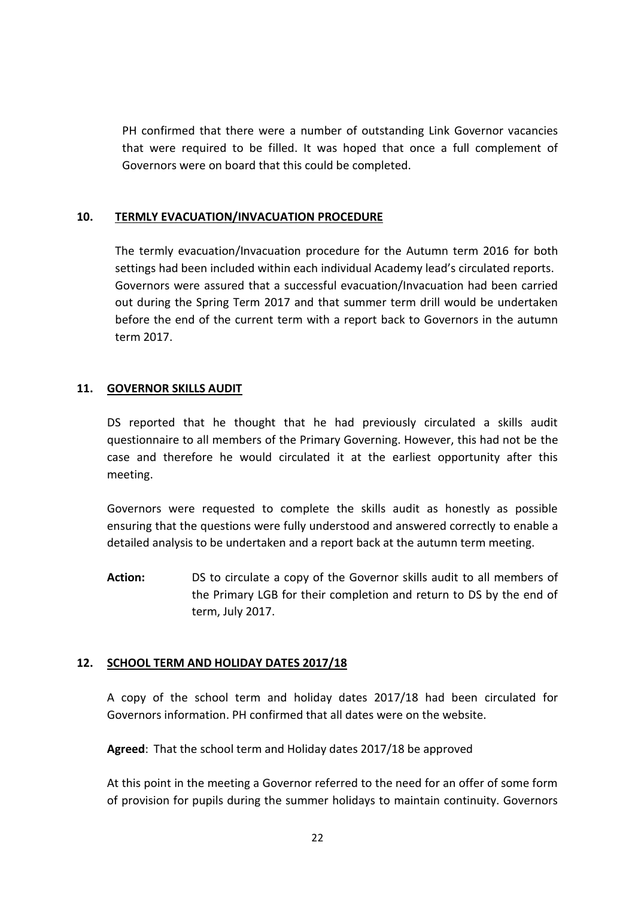PH confirmed that there were a number of outstanding Link Governor vacancies that were required to be filled. It was hoped that once a full complement of Governors were on board that this could be completed.

## **10. TERMLY EVACUATION/INVACUATION PROCEDURE**

The termly evacuation/Invacuation procedure for the Autumn term 2016 for both settings had been included within each individual Academy lead's circulated reports. Governors were assured that a successful evacuation/Invacuation had been carried out during the Spring Term 2017 and that summer term drill would be undertaken before the end of the current term with a report back to Governors in the autumn term 2017.

## **11. GOVERNOR SKILLS AUDIT**

DS reported that he thought that he had previously circulated a skills audit questionnaire to all members of the Primary Governing. However, this had not be the case and therefore he would circulated it at the earliest opportunity after this meeting.

Governors were requested to complete the skills audit as honestly as possible ensuring that the questions were fully understood and answered correctly to enable a detailed analysis to be undertaken and a report back at the autumn term meeting.

**Action:** DS to circulate a copy of the Governor skills audit to all members of the Primary LGB for their completion and return to DS by the end of term, July 2017.

# **12. SCHOOL TERM AND HOLIDAY DATES 2017/18**

A copy of the school term and holiday dates 2017/18 had been circulated for Governors information. PH confirmed that all dates were on the website.

**Agreed**: That the school term and Holiday dates 2017/18 be approved

At this point in the meeting a Governor referred to the need for an offer of some form of provision for pupils during the summer holidays to maintain continuity. Governors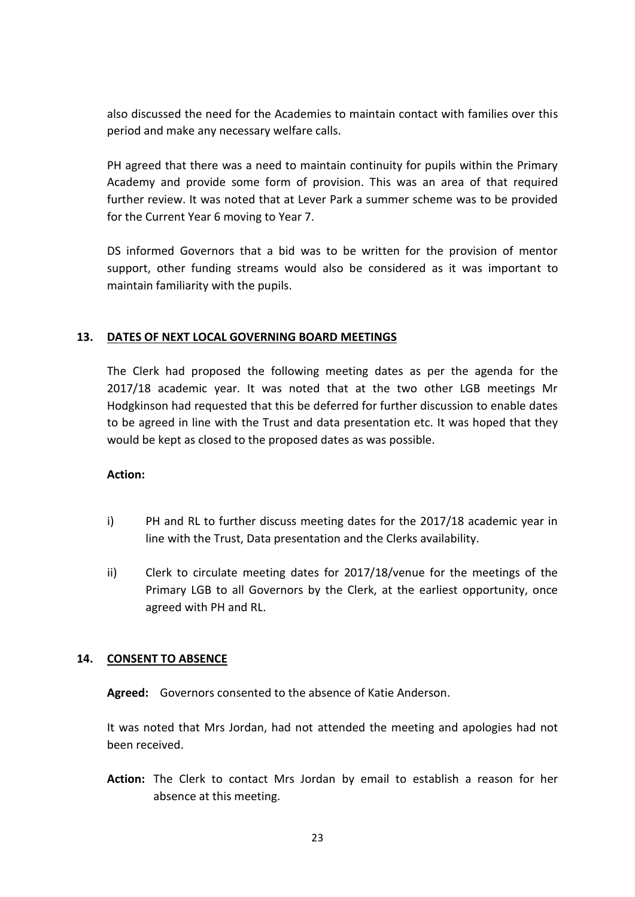also discussed the need for the Academies to maintain contact with families over this period and make any necessary welfare calls.

PH agreed that there was a need to maintain continuity for pupils within the Primary Academy and provide some form of provision. This was an area of that required further review. It was noted that at Lever Park a summer scheme was to be provided for the Current Year 6 moving to Year 7.

DS informed Governors that a bid was to be written for the provision of mentor support, other funding streams would also be considered as it was important to maintain familiarity with the pupils.

## **13. DATES OF NEXT LOCAL GOVERNING BOARD MEETINGS**

The Clerk had proposed the following meeting dates as per the agenda for the 2017/18 academic year. It was noted that at the two other LGB meetings Mr Hodgkinson had requested that this be deferred for further discussion to enable dates to be agreed in line with the Trust and data presentation etc. It was hoped that they would be kept as closed to the proposed dates as was possible.

### **Action:**

- i) PH and RL to further discuss meeting dates for the 2017/18 academic year in line with the Trust, Data presentation and the Clerks availability.
- ii) Clerk to circulate meeting dates for 2017/18/venue for the meetings of the Primary LGB to all Governors by the Clerk, at the earliest opportunity, once agreed with PH and RL.

### **14. CONSENT TO ABSENCE**

**Agreed:** Governors consented to the absence of Katie Anderson.

It was noted that Mrs Jordan, had not attended the meeting and apologies had not been received.

**Action:** The Clerk to contact Mrs Jordan by email to establish a reason for her absence at this meeting.